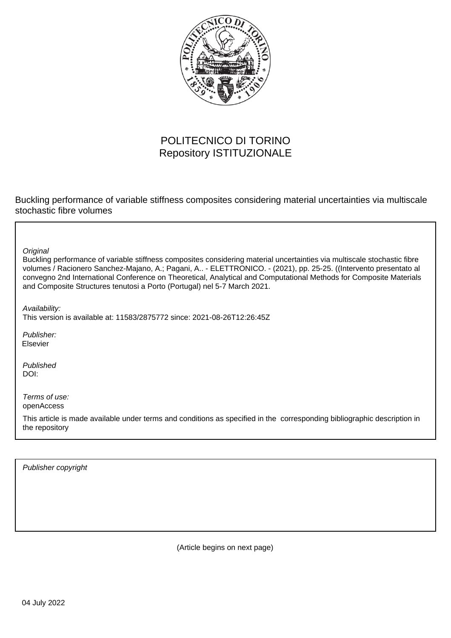

## POLITECNICO DI TORINO Repository ISTITUZIONALE

Buckling performance of variable stiffness composites considering material uncertainties via multiscale stochastic fibre volumes

**Original** 

Buckling performance of variable stiffness composites considering material uncertainties via multiscale stochastic fibre volumes / Racionero Sanchez-Majano, A.; Pagani, A.. - ELETTRONICO. - (2021), pp. 25-25. ((Intervento presentato al convegno 2nd International Conference on Theoretical, Analytical and Computational Methods for Composite Materials and Composite Structures tenutosi a Porto (Portugal) nel 5-7 March 2021.

Availability:

This version is available at: 11583/2875772 since: 2021-08-26T12:26:45Z

Publisher: Elsevier

Published DOI:

Terms of use: openAccess

This article is made available under terms and conditions as specified in the corresponding bibliographic description in the repository

Publisher copyright

(Article begins on next page)